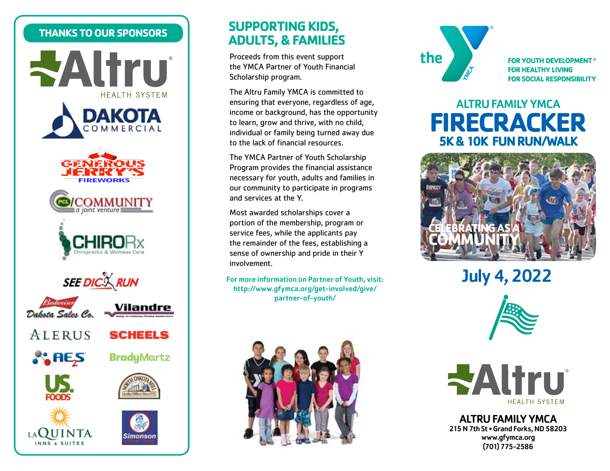#### **THANKS TO OUR SPONSORS**









imonson

## **SUPPORTING KIDS, ADULTS, & FAMILIES**

Proceeds from this event support the YMCA Partner of Youth Financial Scholarship program.

The Altru Family YMCA is committed to ensuring that everyone, regardless of age, income or background, has the opportunity to learn, grow and thrive, with no child, individual or family being turned away due to the lack of financial resources.

The YMCA Partner of Youth Scholarship Program provides the financial assistance necessary for youth, adults and families in our community to participate in programs and services at the Y.

Most awarded scholarships cover a portion of the membership, program or service fees, while the applicants pay the remainder of the fees, establishing a sense of ownership and pride in their Y involvement.

For more information on Partner of Youth, visit: http://www.gfymca.org/get-involved/give/ partner-of-youth/





**FOR YOUTH DEVELOPMENT<sup>®</sup> FOR HEALTHY LIVING FOR SOCIAL RESPONSIBILITY** 

# **FIRECRACKER**  5K & 10K FUN RUN/WALK ALTRU FAMILY YMCA



July 4, 2022



**WAltru HEALTH SYSTEM** 

ALTRU FAMILY YMCA 215 N 7th St • Grand Forks, ND 58203 www.gfymca.org (701) 775-2586